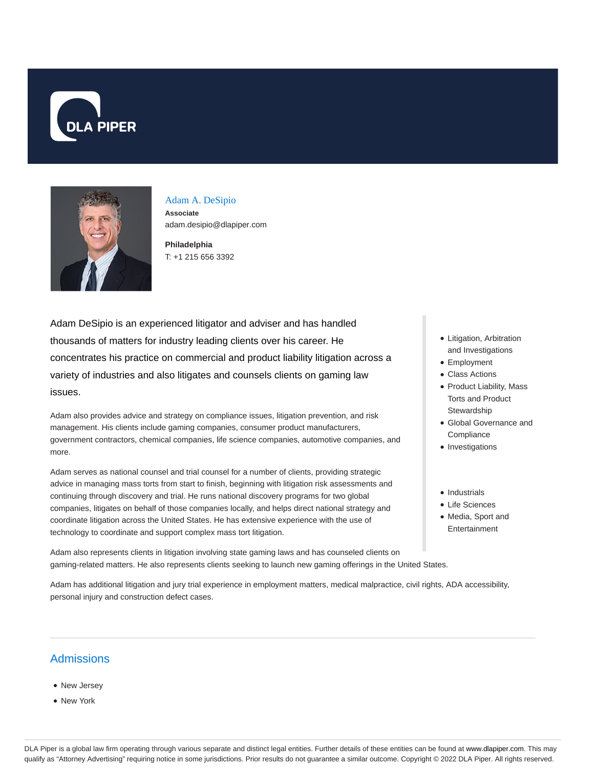



## Adam A. DeSipio

**Associate** adam.desipio@dlapiper.com

**Philadelphia** T: +1 215 656 3392

Adam DeSipio is an experienced litigator and adviser and has handled thousands of matters for industry leading clients over his career. He concentrates his practice on commercial and product liability litigation across a variety of industries and also litigates and counsels clients on gaming law issues.

Adam also provides advice and strategy on compliance issues, litigation prevention, and risk management. His clients include gaming companies, consumer product manufacturers, government contractors, chemical companies, life science companies, automotive companies, and more.

Adam serves as national counsel and trial counsel for a number of clients, providing strategic advice in managing mass torts from start to finish, beginning with litigation risk assessments and continuing through discovery and trial. He runs national discovery programs for two global companies, litigates on behalf of those companies locally, and helps direct national strategy and coordinate litigation across the United States. He has extensive experience with the use of technology to coordinate and support complex mass tort litigation.

Adam also represents clients in litigation involving state gaming laws and has counseled clients on gaming-related matters. He also represents clients seeking to launch new gaming offerings in the United States.

Adam has additional litigation and jury trial experience in employment matters, medical malpractice, civil rights, ADA accessibility, personal injury and construction defect cases.

## Admissions

- New Jersey
- New York
- Litigation, Arbitration and Investigations
- Employment
- Class Actions
- Product Liability, Mass Torts and Product Stewardship
- Global Governance and **Compliance**
- Investigations
- Industrials
- Life Sciences
- Media, Sport and Entertainment